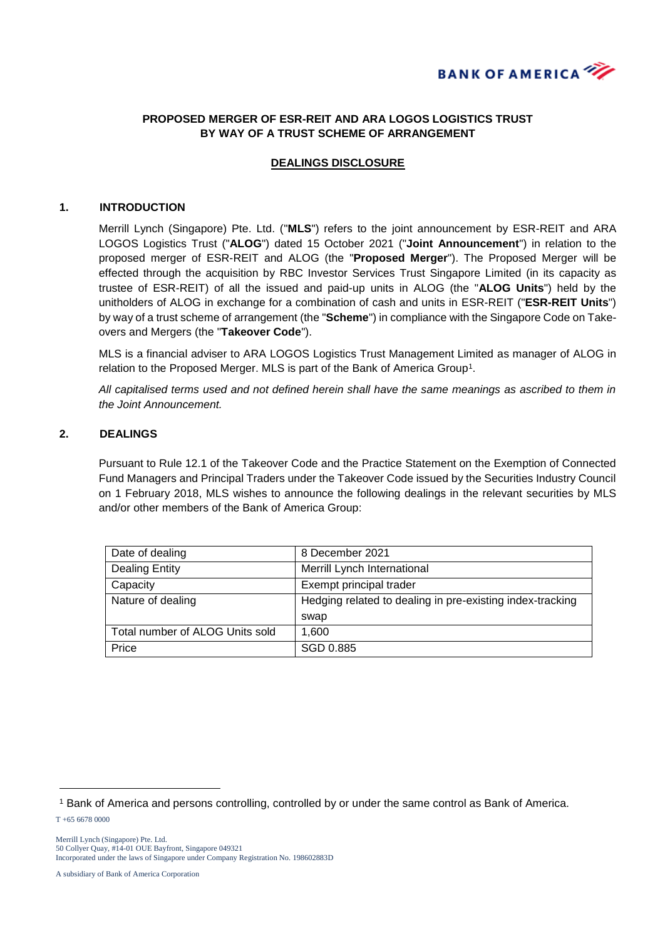

## **PROPOSED MERGER OF ESR-REIT AND ARA LOGOS LOGISTICS TRUST BY WAY OF A TRUST SCHEME OF ARRANGEMENT**

## **DEALINGS DISCLOSURE**

#### **1. INTRODUCTION**

Merrill Lynch (Singapore) Pte. Ltd. ("**MLS**") refers to the joint announcement by ESR-REIT and ARA LOGOS Logistics Trust ("**ALOG**") dated 15 October 2021 ("**Joint Announcement**") in relation to the proposed merger of ESR-REIT and ALOG (the "**Proposed Merger**"). The Proposed Merger will be effected through the acquisition by RBC Investor Services Trust Singapore Limited (in its capacity as trustee of ESR-REIT) of all the issued and paid-up units in ALOG (the "**ALOG Units**") held by the unitholders of ALOG in exchange for a combination of cash and units in ESR-REIT ("**ESR-REIT Units**") by way of a trust scheme of arrangement (the "**Scheme**") in compliance with the Singapore Code on Takeovers and Mergers (the "**Takeover Code**").

MLS is a financial adviser to ARA LOGOS Logistics Trust Management Limited as manager of ALOG in relation to the Proposed Merger. MLS is part of the Bank of America Group<sup>1</sup>.

*All capitalised terms used and not defined herein shall have the same meanings as ascribed to them in the Joint Announcement.*

## **2. DEALINGS**

Pursuant to Rule 12.1 of the Takeover Code and the Practice Statement on the Exemption of Connected Fund Managers and Principal Traders under the Takeover Code issued by the Securities Industry Council on 1 February 2018, MLS wishes to announce the following dealings in the relevant securities by MLS and/or other members of the Bank of America Group:

| Date of dealing                 | 8 December 2021                                           |
|---------------------------------|-----------------------------------------------------------|
| <b>Dealing Entity</b>           | Merrill Lynch International                               |
| Capacity                        | Exempt principal trader                                   |
| Nature of dealing               | Hedging related to dealing in pre-existing index-tracking |
|                                 | swap                                                      |
| Total number of ALOG Units sold | 1.600                                                     |
| Price                           | SGD 0.885                                                 |

T +65 6678 0000

-

Merrill Lynch (Singapore) Pte. Ltd. 50 Collyer Quay, #14-01 OUE Bayfront, Singapore 049321 Incorporated under the laws of Singapore under Company Registration No. 198602883D

A subsidiary of Bank of America Corporation

<sup>1</sup> Bank of America and persons controlling, controlled by or under the same control as Bank of America.